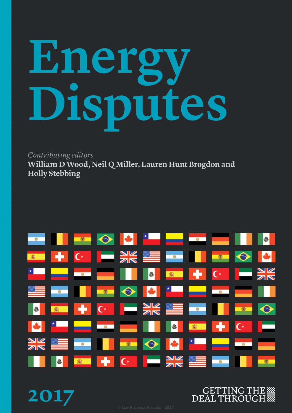# **Energy Disputes**

*Contributing editors*

**William D Wood, Neil Q Miller, Lauren Hunt Brogdon and Holly Stebbing**



**2017**

# **GETTING THE WW DEAL THROUGH**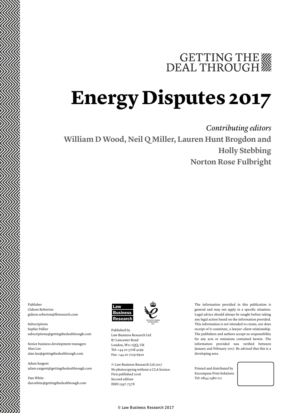# GETTING THE WE DEAL THROUGH

# **Energy Disputes 2017**

*Contributing editors* **William D Wood, Neil Q Miller, Lauren Hunt Brogdon and Holly Stebbing Norton Rose Fulbright**

Publisher Gideon Roberton gideon.roberton@lbresearch.com

Subscriptions Sophie Pallier subscriptions@gettingthedealthrough.com

Senior business development managers Alan Lee alan.lee@gettingthedealthrough.com

Adam Sargent adam.sargent@gettingthedealthrough.com

Dan White dan.white@gettingthedealthrough.com



Published by Law Business Research Ltd 87 Lancaster Road London, W11 1QQ, UK Tel: +44 20 3708 4199 Fax: +44 20 7229 6910

© Law Business Research Ltd 2017 No photocopying without a CLA licence. First published 2016 Second edition ISSN 2397-737X

The information provided in this publication is general and may not apply in a specific situation. Legal advice should always be sought before taking any legal action based on the information provided. This information is not intended to create, nor does receipt of it constitute, a lawyer–client relationship. The publishers and authors accept no responsibility for any acts or omissions contained herein. The information provided was verified between January and February 2017. Be advised that this is a developing area.

Printed and distributed by Encompass Print Solutions Tel: 0844 2480 112



© Law Business Research 2017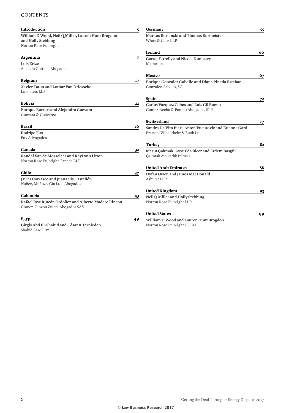### **CONTENTS**

| <b>Introduction</b>                                                                               | 5  | Germany                                                                                  | 55 |
|---------------------------------------------------------------------------------------------------|----|------------------------------------------------------------------------------------------|----|
| William D Wood, Neil Q Miller, Lauren Hunt Brogdon<br>and Holly Stebbing<br>Norton Rose Fulbright |    | Markus Burianski and Thomas Burmeister<br>White & Case LLP                               |    |
|                                                                                                   |    | Ireland                                                                                  | 60 |
| Argentina                                                                                         | 7  | <b>Garret Farrelly and Nicola Dunleavy</b>                                               |    |
| Luis Erize<br>Abeledo Gottheil Abogados                                                           |    | Matheson                                                                                 |    |
|                                                                                                   |    | Mexico                                                                                   | 67 |
| <b>Belgium</b><br>Xavier Taton and Lothar Van Driessche<br>Linklaters LLP                         | 17 | Enrique González Calvillo and Diana Pineda Esteban<br>González Calvillo, SC              |    |
|                                                                                                   |    | Spain                                                                                    | 72 |
| Bolivia                                                                                           | 22 | Carlos Vázquez Cobos and Luis Gil Bueno                                                  |    |
| <b>Enrique Barrios and Alejandra Guevara</b><br>Guevara & Gutierrez                               |    | Gómez-Acebo & Pombo Abogados, SLP                                                        |    |
|                                                                                                   |    | Switzerland                                                                              | 77 |
| <b>Brazil</b><br><b>Rodrigo Fux</b><br>Fux Advogados                                              | 26 | Sandra De Vito Bieri, Anton Vucurovic and Etienne Gard<br>Bratschi Wiederkehr & Buob Ltd |    |
|                                                                                                   |    | Turkey                                                                                   | 82 |
| Canada                                                                                            | 32 | Mesut Çakmak, Ayşe Eda Biçer and Erdem Başgül                                            |    |
| Randal Van de Mosselaer and KayLynn Litton<br>Norton Rose Fulbright Canada LLP                    |    | Çakmak Avukatlık Bürosu                                                                  |    |
|                                                                                                   |    | <b>United Arab Emirates</b>                                                              | 88 |
| Chile                                                                                             | 37 | Dyfan Owen and James MacDonald                                                           |    |
| Javier Carrasco and Juan Luis Castellón<br>Núñez, Muñoz y Cía Ltda Abogados                       |    | Ashurst LLP                                                                              |    |
|                                                                                                   |    | <b>United Kingdom</b>                                                                    | 93 |
| Colombia                                                                                          | 43 | Neil Q Miller and Holly Stebbing                                                         |    |
| Rafael José Rincón Ordoñez and Alberto Madero Rincón<br>Gómez - Pinzón Zuleta Abogados SAS        |    | Norton Rose Fulbright LLP                                                                |    |
|                                                                                                   |    | <b>United States</b>                                                                     | 99 |
| Egypt                                                                                             | 49 | William D Wood and Lauren Hunt Brogdon                                                   |    |
| Girgis Abd El-Shahid and César R Ternieden                                                        |    | Norton Rose Fulbright US LLP                                                             |    |

**Girgis Abd El-Shahid and César R Ternieden** Shahid Law Firm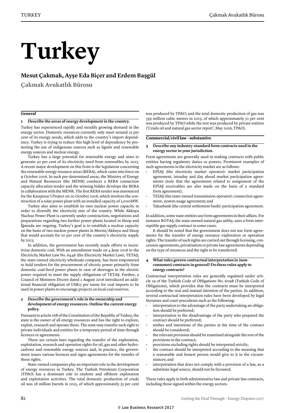# **Turkey**

### **Mesut Çakmak, Ayşe Eda Biçer and Erdem Başgül**

**Çakmak Avukatlık Bürosu**

#### **General**

#### **1 Describe the areas of energy development in the country.**

Turkey has experienced rapidly and steadily growing demand in the energy sector. Domestic resources currently only meet around 25 per cent of its energy needs, which adds to the country's import dependency. Turkey is trying to reduce this high level of dependency by promoting the use of indigenous sources such as lignite and renewable energy sources and nuclear energy.

Turkey has a large potential for renewable energy and aims to generate 30 per cent of its electricity need from renewables by 2023. A recent major development on this front is the legislation concerning the renewable energy resource areas (RERA), which came into force on 9 October 2016. In such pre-determined areas, the Ministry of Energy and Natural Resources (the MENR) conducts a RERA connection capacity allocation tender and the winning bidder develops the RERA in collaboration with the MENR. The first RERA tender was announced for the Karapınar I Project on 20 October 2016, which involves the construction of a solar power plant with an installed capacity of 1,000MW.

Turkey also aims to establish its own nuclear power capacity in order to diversify the electricity mix of the country. While Akkuyu Nuclear Power Plant is currently under construction, negotiations and preparations regarding two further power plants located in Sinop and İğneada are ongoing. Turkey's goal is to establish a nuclear capacity on the basis of two nuclear power plants in Mersin/Akkuyu and Sinop that would account for 10 per cent of the country's electricity supply by 2023.

In addition, the government has recently made efforts to incentivise domestic coal. With an amendment made on 4 June 2016 to the Electricity Market Law No. 6446 (the Electricity Market Law), TETAŞ, the state-owned electricity wholesale company, has been empowered to hold tenders for the procurement of electric power primarily from domestic coal-fired power plants in case of shortages in the electric power required to meet the supply obligations of TETAŞ. Further, a Council of Ministers Decree dated 2 August 2016 introduced an additional financial obligation of US\$15 per tonne for coal imports to be used in power plants to encourage projects on local coal reserves.

#### **2 Describe the government's role in the ownership and development of energy resources. Outline the current energy policy.**

Pursuant to article 168 of the Constitution of the Republic of Turkey, the state is the owner of all energy resources and has the right to explore, exploit, research and operate them. The state may transfer such right to private individuals and entities for a temporary period of time through licences or agreements.

There are certain laws regarding the transfer of the exploration, exploitation, research and operation rights for oil, gas and other hydrocarbons and renewable energy sources and, in practice, the government issues various licences and signs agreements for the transfer of these rights.

State-owned companies play an important role in the development of energy resources in Turkey. The Turkish Petroleum Corporation (TPAO) has a dominant role in onshore and offshore exploration and exploitation activities. The total domestic production of crude oil was 18 million barrels in 2015, of which approximately 55 per cent was produced by TPAO; and the total domestic production of gas was 339 million cubic metres in 2015, of which approximately 51 per cent was produced by TPAO while the rest was produced by private entities ('Crude oil and natural gas sector report', May 2016, TPAO).

#### **Commercial/civil law – substantive**

#### **3 Describe any industry-standard form contracts used in the energy sector in your jurisdiction.**

Form agreements are generally used in making contracts with public entities having regulatory duties or powers. Prominent examples of such agreements in the electricity market are as follows:

- EPİAŞ (the electricity market operator): market participation agreement, intraday and day ahead market participation agreements (note that the agreements related to assignment of the EPİAŞ receivables are also made on the basis of a standard form agreement);
- TEİAŞ (the state-owned transmission operator): connection agreement, system usage agreement; and
- Takasbank (the central settlement bank): participation agreement.

In addition, some state entities use form agreements in their affairs. For instance BOTAŞ, the state-owned natural gas utility, uses a form interruptible gas supply contract in some cases.

It should be noted that the government does not use form agreements for the transfer of energy resource exploration or operation rights. The transfer of such rights are carried out through licensing, concession agreements, privatisation or private law agreements depending on the type of resources and the right to be transferred.

#### **4 What rules govern contractual interpretation in (nonconsumer) contracts in general? Do these rules apply to energy contracts?**

Contractual interpretation rules are generally regulated under article 19 of the Turkish Code of Obligations No. 6098 (Turkish Code of Obligations), which provides that the contracts must be interpreted according to the real and mutual intention of the parties. In addition, several contractual interpretation rules have been developed by legal literature and court precedents such as the following:

- interpretation to the advantage of the party undertaking an obligation should be preferred;
- interpretation to the disadvantage of the party who prepared the contract should be preferred;
- wishes and intentions of the parties at the time of the contract should be considered;
- the relevant provision should be examined alongside the rest of the provisions in the contract;
- provisions excluding rights should be interpreted strictly;
- the contract should be interpreted according to the meaning that a reasonable and honest person would give to it in the circumstances; and
- interpretation that does not comply with a provision of a law, as a substitute legal source, should not be favoured.

These rules apply in both administrative law and private law contracts, including those signed within the energy sectors.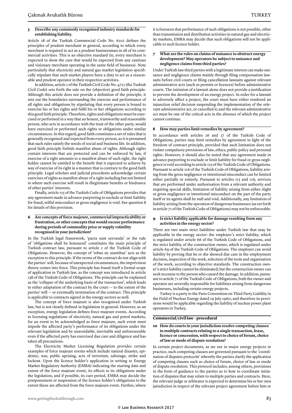Article 18 of the Turkish Commercial Code No. 6102 defines the principles of prudent merchant in general, according to which every merchant is required to act as a prudent businessman in all of its commercial activities. This is an objective standard (ie, every merchant is expected to show the care that would be expected from any cautious and visionary merchant operating in the same field of business). Note particularly that electricity and natural gas market legislation specifically stipulate that such market players have a duty to act as a reasonable and prudent operator in their respective activities.

In addition, article 2 of the Turkish Civil Code No. 4721 (the Turkish Civil Code) sets forth the rule on the (objective) good faith principle. Although this article does not provide a definition of the principle, it sets out the boundaries surrounding the exercise and performance of all rights and obligations by stipulating that every person is bound to exercise his or her rights and fulfil his or her obligations according to this good faith principle. Therefore, rights and obligations must be exercised or performed in a way that an honest, trustworthy and reasonable person, who acts in accordance with the trust of the other party, would have exercised or performed such rights or obligations under similar circumstances. In this regard, good faith constitutes a set of rules that is generally recognised and expected from every person, as it is presumed that such rules satisfy the needs of social and business life. In addition, good faith principle forbids manifest abuse of rights. Although rights contain interests that are protected and can be enforced by law, if exercise of a right amounts to a manifest abuse of such right, the right holder cannot be entitled to the benefit that it expected to achieve by way of exercise of its right in a manner that is contrary to the good faith principle. Legal scholars and judicial precedents acknowledge certain exercises of rights as manifest abuse of a right including but not limited to where such exercise will result in illegitimate benefits or hindrance of other parties' interests.

Finally, article 115 of the Turkish Code of Obligations provides that any agreement made in advance purporting to exclude or limit liability for fraud, wilful misconduct or gross negligence is void. See question 8 for details of this provision.

#### **6 Are concepts of force majeure, commercial impracticability or frustration, or other concepts that would excuse performance during periods of commodity price or supply volatility recognised in your jurisdiction?**

In the Turkish legal framework, 'pacta sunt servanda' or the rule of 'obligations shall be honoured' constitutes the main principle of Turkish contract law, pursuant to article 2 of the Turkish Code of Obligations. However, the concept of 'rebus sic stantibus' acts as the exception to this principle. If the terms of the contract do not align with the parties' will, because of unexpected circumstances, the imprévision theory comes into force. This principle has found itself a formal scope of application in Turkish law, as the concept was introduced in article 138 of the Turkish Code of Obligations. The principle can be explained as the 'collapse of the underlying basis of the transaction', which leads to either adaptation of the contract by the court — to the extent of the parties' will — or eventually termination of the contract. This principle is applicable to contracts signed in the energy sectors as well.

The concept of force majeure is also recognised under Turkish law, but is not clearly defined in legislation in general. However, as an exception, energy legislation defines force majeure events. According to licensing regulations of electricity, natural gas and petrol markets, for an event to be acknowledged as force majeure, such event must impede the affected party's performance of its obligations under the relevant legislation and be unavoidable, inevitable and unforeseeable even if the affected party has exercised due care and diligence and has taken all precautions.

The Electricity Market Licensing Regulation provides certain examples of force majeure events which include natural disaster, epidemic, war, public uprising, acts of terrorism, sabotage, strike and lockout. Upon the licence holder's application in writing to Energy Market Regulatory Authority (EMRA) indicating the starting date and extent of the force majeure event, its effects to its obligations under the legislation, and if possible, its cure period, EMRA may decide the postponement or suspension of the licence holder's obligations to the extent these are affected from the force majeure event. Further, where it is foreseen that performance of such obligations is not possible, other than transmission and distribution activities in natural gas and electricity markets, EMRA may decide that such obligations will not be applicable to such licence holder.

#### **7 What are the rules on claims of nuisance to obstruct energy development? May operators be subject to nuisance and negligence claims from third parties?**

Under Turkish law third parties with a legitimate interest can make nuisance and negligence claims mainly through filing compensation lawsuits before civil courts or filing cancellation lawsuits against relevant administrative acts (such as permits or licences) before administrative courts. The initiation of a lawsuit alone does not provide a justification to prevent the development of an energy project. In order for a lawsuit to adversely affect a project, the court must have either rendered an injunction relief decision suspending the implementation of the relevant administrative act, or cancelled it; and the relevant administrative act must be one of the critical acts in the absence of which the project cannot continue.

#### **8 How may parties limit remedies by agreement?**

In accordance with articles 26 and 27 of the Turkish Code of Obligations, parties may limit remedies by agreement in light of the freedom of contract principle, provided that such limitation does not violate compulsory provisions of law, ethics, public policy and personal rights. However, it should also be noted that any agreement made in advance purporting to exclude or limit liability for fraud or gross negligence is void according to article 115 of the Turkish Code of Obligations. Pursuant to article 116 of the Turkish Code of Obligations, liability arising from the gross negligence or intentional misconduct can be limited either partially or entirely. Pursuant to articles 115 and 116, services that are performed under authorisation from a relevant authority and requiring special skills, limitation of liability arising from either slight or gross negligence or intentional misconduct on the part of the party itself or its agents shall be null and void. Additionally, any limitation of liability arising from the operation of dangerous businesses (as set forth in article 71 of the Turkish Code of Obligations) may not be enforceable.

#### **9 Is strict liability applicable for damage resulting from any activities in the energy sector?**

There are two main strict liabilities under Turkish law that may be applicable in the energy sector: the employer's strict liability, which is regulated under article 66 of the Turkish Code of Obligations, and the strict liability of the construction owner, which is regulated under article 69 of the Turkish Code of Obligations. The employer can avoid liability by proving that he or she showed due care in the employment decision, inspection of the work, selection of the tools and organisation of the work, according to objective standards. The construction owner's strict liability cannot be eliminated; but the construction owner can seek recourse to the person who caused the damage. In addition, pursuant to article 71 of the Turkish Code of Obligations, both the owner and operator are severally responsible for liabilities arising from dangerous businesses, including certain energy projects.

Turkey is a party to the Paris Convention on Third Party Liability in the Field of Nuclear Energy dated 29 July 1960, and therefore its provisions would be applicable regarding the liability of nuclear power plant operators in Turkey.

#### **Commercial/civil law – procedural**

#### **10 How do courts in your jurisdiction resolve competing clauses in multiple contracts relating to a single transaction, lease, licence or concession, with respect to choice of forum, choice of law or mode of dispute resolution?**

In certain project documents, as we see in major energy projects in practice, such competing clauses are governed pursuant to the 'coordination of disputes protocols' whereby the parties clarify the application of competing clauses such as choice of forum, choice of law or mode of dispute resolution. This protocol includes, among others, provisions in the form of guidance to the parties as to how to coordinate initiation of disputes that may relate to multiple parties and contracts. Here, the relevant judge or arbitrator is expected to determine his or her own jurisdiction in respect of the relevant project agreement before him or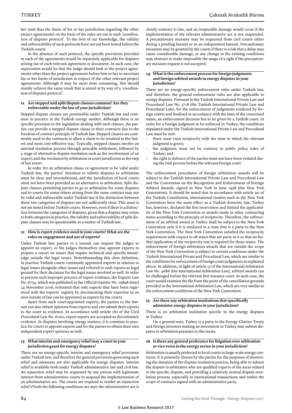her (and thus the limits of his or her jurisdiction regarding the other project agreements) on the basis of the rules set out in such 'coordination of disputes protocol'. To the best of our knowledge, the validity and enforceability of such protocols have not yet been tested before the Turkish courts.

In the absence of such protocol, the specific provisions provided in each of the agreements would be separately applicable for disputes arising out of each relevant agreement or document. In such case, the expectation would be that the judge should look at the project agreements other than the project agreement before him or her to ascertain his or her limits of jurisdiction in respect of the other relevant project agreements. Although it may be more time consuming, this should mainly achieve the same result that is aimed at by way of a 'coordination of disputes protocol'.

#### **11 Are stepped and split dispute clauses common? Are they enforceable under the law of your jurisdiction?**

Stepped dispute clauses are permissible under Turkish law and common in practice in the Turkish energy market. Although there is no specific provision in the legislation dealing with such clauses, the parties can provide a stepped dispute clause in their contracts due to the freedom of contract principle of Turkish law. Stepped clauses are commonly used in the contracts to allow a claim to be resolved in the fastest and most cost-effective way. Typically, stepped clauses involve an internal resolution process through amicable settlement, followed by a stage of alternative dispute resolution such as the involvement of an expert; and the resolution by arbitration or court jurisdiction as the step of last resort.

In order for an arbitration clause or agreement to be valid under Turkish law, the parties' intention to submit disputes to arbitration must be clear and unconditional, and the jurisdiction of local courts must not have been provided as an alternative to arbitration. Split dispute clauses permitting parties to go to arbitration for some disputes and to courts for some others arising from the same contract may not be valid and enforceable under Turkish law if the distinction between these two categories of disputes are not sufficiently clear. This issue is not yet tested before Turkish courts. However, even if there is a distinction between the categories of disputes, given that a dispute may relate to both categories in practice, the validity and enforceability of split dispute clauses may be questionable as a matter of Turkish law.

#### **12 How is expert evidence used in your courts? What are the rules on engagement and use of experts?**

Under Turkish law, parties to a lawsuit can request the judges to appoint an expert, or the judges themselves may appoint experts to prepare a report on issues that require technical and specific knowledge outside the legal issues. Notwithstanding this clear definition, in practice Turkish courts commonly appointed experts in relation to legal issues alongside other issues and referred to such reports as legal ground for their decisions for the legal issues involved as well. In order to prevent such improper practice of expert evidence, the Experts Law No. 6754, which was published in the Official Gazette No. 29898 dated 24 November 2016, reiterated that only experts that have been registered with the experts' registry by documenting their expertise in an area outside of law can be appointed as experts by the courts.

Apart from such court-appointed experts, the parties to the lawsuit can also obtain opinions from experts and can submit their reports to the court as evidence. In accordance with article 282 of the Civil Procedural Law No. 6100, expert reports are accepted as discretionary evidence. In disputes involving energy matters, it is common in practice for courts to appoint experts and for the parties to obtain their own independent expert opinions as well.

#### **13 What interim and emergency relief may a court in your jurisdiction grant for energy disputes?**

There are no energy-specific interim and emergency relief provisions under Turkish law, and therefore the general provisions governing such relief and measures are also applicable for energy disputes. Interim relief is available both under Turkish administrative law and civil law. An injunction relief may be requested by any person with legitimate interest from administrative courts to suspend the implementation of an administrative act. The courts are required to render an injunction relief if both the following conditions are met: the administrative act is

clearly contrary to law, and an irreparable damage would occur if the implementation of the relevant administrative act is not suspended. A precautionary measure may be requested from civil courts either during a pending lawsuit or as an independent lawsuit. Precautionary measures may be granted by the courts if there is a risk that a delay may cause considerable damage, or any change in the existing conditions may obstruct or make impossible the usage of a right if the precautionary measure request is not accepted.

#### **14 What is the enforcement process for foreign judgments and foreign arbitral awards in energy disputes in your jurisdiction?**

There are no energy-specific enforcement rules under Turkish law, and therefore, the general enforcement rules are also applicable to energy disputes. Pursuant to the Turkish International Private Law and Procedural Law No. 5718 (the Turkish International Private Law and Procedural Law), for the enforcement of judgments rendered by foreign courts and finalised in accordance with the laws of the concerned states, an enforcement decision has to be given by a Turkish court. In order for a foreign judgment to be enforced in Turkey, the conditions stipulated under the Turkish International Private Law and Procedural Law must be met:

- there must exist reciprocity with the state in which the relevant judgment is given;
- the judgment must not be contrary to public policy rules of Turkey; and
- the right to defence of the parties must not have been violated during the trial process before the relevant foreign court.

The enforcement procedures of foreign arbitration awards will be subject to the Turkish International Private Law and Procedural Law and the Convention on the Recognition and Enforcement of Foreign Arbitral Awards, signed in New York in June 1958 (the New York Convention). It should be noted that in accordance with article 90 of the Turkish Constitution, international treaties such as the New York Convention have the same effect as a Turkish domestic law. Turkey has, however, declared the first reservation and limited the applicability of the New York Convention to awards made in other contracting states according to the principle of reciprocity. Therefore, the enforcement of an arbitral award in Turkey shall be subject to the New York Convention only if it is rendered in a state that is a party to the New York Convention. The New York Convention satisfied the reciprocity requirement with respect to all states that are party to it so that no further application of the reciprocity test is required for those states. The enforcement of foreign arbitration awards that are outside the scope of the New York Convention is subject to certain conditions under the Turkish International Private and Procedural Law, which are similar to the conditions for enforcement of foreign court judgments as explained above. In addition, in light of article 15 of the International Arbitration Law No. 4686 (the International Arbitration Law), arbitral awards can be challenged before the relevant first instance court. In such case, the court would examine the file from the point of the cancellation grounds provided in the International Arbitration Law, which are very similar to the enforcement conditions of the New York Convention.

#### **15 Are there any arbitration institutions that specifically administer energy disputes in your jurisdiction?**

There is no arbitration institution specific to the energy disputes in Turkey.

On a general note, Turkey is a party to the Energy Charter Treaty and foreign investors making an investment in Turkey may submit disputes to arbitration pursuant to this treaty.

#### **16 Is there any general preference for litigation over arbitration or vice versa in the energy sector in your jurisdiction?**

Arbitration is usually preferred to local courts in large-scale energy contracts. It is primarily chosen by the parties for the purposes of shortening the duration of the dispute resolution process, being able to submit the dispute to arbitrators who are qualified experts of the areas related to the specific dispute, and providing a relatively neutral dispute resolution process, especially in international transactions and within the scope of contracts signed with an administrative party.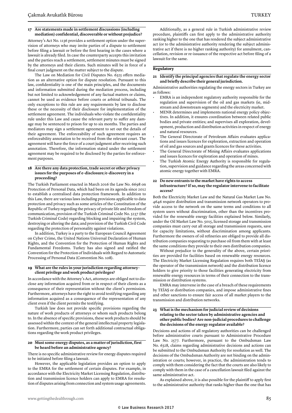#### **17 Are statements made in settlement discussions (including mediation) confidential, discoverable or without prejudice?**

Attorney's Act No. 1136 provides a settlement option under the supervision of attorneys who may invite parties of a dispute to settlement before filing a lawsuit or before the first hearing in the cases where a lawsuit is already filed. In case the counterparty accepts this invitation and the parties reach a settlement, settlement minutes must be signed by the attorneys and their clients. Such minutes will be in force of a final court judgment on the matter subject to the dispute.

The Law on Mediation for Civil Disputes No. 6325 offers mediation as an alternative option for dispute resolution. Pursuant to this law, confidentiality is one of the main principles, and the documents and information submitted during the mediation process, including but not limited to acknowledgement of any factual matters or claims, cannot be used as evidence before courts or arbitral tribunals. The only exceptions to this rule are any requirements by law to disclose these or the necessity of their disclosure for implementation of the settlement agreement. The individuals who violate the confidentiality rule under this Law and cause the relevant party to suffer any damage may be sentenced to prison for up to six months. The parties and mediators may sign a settlement agreement to set out the details of their agreement. The enforceability of such agreement requires an enforceability annotation to be received from the relevant court. The agreement will have the force of a court judgment after receiving such annotation. Therefore, the information stated under the settlement agreement may be required to be disclosed by the parties for enforcement purposes.

#### **18 Are there any data protection, trade secret or other privacy issues for the purposes of e-disclosure/e-discovery in a proceeding?**

The Turkish Parliament enacted in March 2016 the Law No. 6698 on Protection of Personal Data, which had been on its agenda since 2012 to establish a centralised data protection framework. In addition to this Law, there are various laws including provisions applicable to data protection and privacy such as some articles of the Constitution of the Republic of Turkey regarding the privacy of private life and freedom of communication, provision of the Turkish Criminal Code No. 5237 (the Turkish Criminal Code) regarding blocking and impairing the system, destroying or altering the data; and provision of the Turkish Civil Code regarding the protection of personality against violations.

In addition, Turkey is a party to the European Council Agreement on Cyber Crime, the United Nations Universal Declaration of Human Rights, and the Convention for the Protection of Human Rights and Fundamental Freedoms. Turkey has also signed and ratified the Convention for the Protection of Individuals with Regard to Automatic Processing of Personal Data (Convention No. 108).

#### **19 What are the rules in your jurisdiction regarding attorney– client privilege and work product privileges?**

In accordance with the Attorney's Act, attorneys are obliged not to disclose any information acquired from or in respect of their clients as a consequence of their representation without the client's permission. Furthermore, attorneys have the right to avoid testifying regarding any information acquired as a consequence of the representation of any client even if the client permits the testifying.

Turkish law does not provide specific provisions regarding the nature of work products of attorneys or whom such products belong to. In the absence of specific provisions, these work products should be assessed within the context of the general intellectual property legislation. Furthermore, parties can set forth additional contractual obligations regarding the work product privileges.

#### **20 Must some energy disputes, as a matter of jurisdiction, first be heard before an administrative agency?**

There is no specific administrative review for energy disputes required to be initiated before filing a lawsuit.

However, the applicable legislation provides an option to apply to the EMRA for the settlement of certain disputes. For example, in accordance with the Electricity Market Licensing Regulation, distribution and transmission licence holders can apply to EMRA for resolution of disputes arising from connection and system usage agreements.

Additionally, as a general rule in Turkish administrative review procedure, plaintiffs can first apply to the administrative authority ranking higher to the one that has rendered the subject administrative act (or to the administrative authority rendering the subject administrative act if there is no higher ranking authority) for annulment, cancellation, revision or re-issuance of the respective act before filing of a lawsuit for the same.

#### **Regulatory**

**21 Identify the principal agencies that regulate the energy sector and briefly describe their general jurisdiction.**

Administrative authorities regulating the energy sectors in Turkey are as follows:

- EMRA is an independent regulatory authority responsible for the regulation and supervision of the oil and gas markets (ie, midstream and downstream segments) and the electricity market.
- MENR determines and implements national energy policy objectives. In addition, it ensures coordination between related public bodies and private entities; and supervises all exploration, development, production and distribution activities in respect of energy and natural resources.
- The General Directorate of Petroleum Affairs evaluates applications and issues licences for exploration, extraction and operation of oil and gas sources and grants licences for these activities.
- The General Directorate of Mining Affairs evaluates applications and issues licences for exploration and operation of mines.
- The Turkish Atomic Energy Authority is responsible for regulation, supervision and guidance regarding the areas concerned with atomic energy together with EMRA.

#### **22 Do new entrants to the market have rights to access infrastructure? If so, may the regulator intervene to facilitate access?**

Both the Electricity Market Law and the Natural Gas Market Law No. 4646 require distribution and transmission network operators to provide access to the network on the same terms and conditions to all system users without discrimination, other than the incentives provided for the renewable energy facilities explained below. Similarly, under the Oil Market Law No. 5015, licensed storage and transmission companies must carry out all storage and transmission requests, save for capacity limitations, without discrimination among applicants. Furthermore the owners of oil refineries are obliged to provide all distribution companies requesting to purchase oil from them with at least the same conditions they provide to their own distribution companies.

Without prejudice to the generality of the above, certain priorities are provided for facilities based on renewable energy resources. The Electricity Market Licensing Regulation requires both TEİAŞ (as the operator of the transmission network) and the distribution licence holders to give priority to those facilities generating electricity from renewable energy resources in terms of their connection to the transmission or distribution systems.

EMRA may intervene in the case of a breach of these requirements by TEİAŞ or distribution companies, and impose administrative fines and other sanctions to ensure fair access of all market players to the transmission and distribution networks.

#### **23 What is the mechanism for judicial review of decisions relating to the sector taken by administrative agencies and other public bodies? Are non-judicial procedures to challenge the decisions of the energy regulator available?**

Decisions and actions of all regulatory authorities can be challenged before administrative courts pursuant to Administrative Procedure Law No. 2577. Furthermore, pursuant to the Ombudsman Law No. 6328, claims regarding administrative decisions and actions can be submitted to the Ombudsman Authority for resolution as well. The decisions of the Ombudsman Authority are not binding on the administration or courts; however, in practice, the administration tends to comply with them considering the fact that the courts are also likely to comply with them in the case of a cancellation lawsuit filed against the same administrative act.

As explained above, it is also possible for the plaintiff to apply first to the administrative authority that ranks higher than the one that has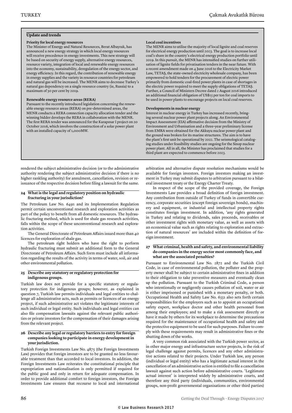#### **Update and trends**

#### **Priority for local energy resources**

The Minister of Energy and Natural Resources, Berat Albayrak, has announced a new energy strategy in which local energy resources will receive precedence in energy investments. This new strategy will be based on security of energy supply, alternative energy resources, resource variety, integration of local and renewable energy resources into the economy, sustainability, deregulation of the energy sector, and energy efficiency. In this regard, the contribution of renewable energy in energy supplies and the variety in resource countries for petroleum and natural gas will be increased. The MENR aims to decrease Turkey's natural gas dependency on a single resource country (ie, Russia) to a maximum of 50 per cent by 2019.

#### **Renewable energy resource areas (RERA)**

Pursuant to the recently introduced legislation concerning the renewable energy resource areas (RERA) on pre-determined areas, the MENR conducts a RERA connection capacity allocation tender and the winning bidder develops the RERA in collaboration with the MENR. The first RERA tender was announced for the Karapınar I project on 20 October 2016, which involves the construction of a solar power plant with an installed capacity of 1,000MW.

rendered the subject administrative decision (or to the administrative authority rendering the subject administrative decision if there is no higher rankling authority) for annulment, cancellation, revision or reissuance of the respective decision before filing a lawsuit for the same.

#### **24 What is the legal and regulatory position on hydraulic fracturing in your jurisdiction?**

The Petroleum Law No. 6491 and its Implementation Regulation permit certain unconventional research and exploration activities as part of the policy to benefit from all domestic resources. The hydraulic fracturing method, which is used for shale gas research activities, falls within the scope of these unconventional research and exploration activities.

The General Directorate of Petroleum Affairs issued more than 40 licences for exploration of shale gas.

The petroleum right holders who have the right to perform hydraulic fracturing must submit an additional form to the General Directorate of Petroleum Affairs. Such form must include all information regarding the results of the activity in terms of water, soil, air and other environmental pollution.

#### **25 Describe any statutory or regulatory protection for indigenous groups.**

Turkish law does not provide for a specific statutory or regulatory protection for indigenous groups; however, as explained in question 7, Turkish law permits individuals and legal entities to challenge all administrative acts, such as permits or licences of an energy project, if such administrative act violates the legitimate interests of such individual or legal entity. Such individuals and legal entities can also file compensation lawsuits against the relevant public authorities or private investors for the compensation of their damages arising from the relevant project.

#### **26 Describe any legal or regulatory barriers to entry for foreign companies looking to participate in energy development in your jurisdiction.**

Turkish Foreign Investments Law No. 4875 (the Foreign Investments Law) provides that foreign investors are to be granted no less favourable treatment than that accorded to local investors. In addition, the Foreign Investments Law reiterates the constitutional principle that expropriation and nationalisation is only permitted if required for the public good and only in return for adequate compensation. In order to provide additional comfort to foreign investors, the Foreign Investments Law ensures that recourse to local and international

#### **Local coal incentives**

The MENR aims to utilise the majority of local lignite and coal reserves for electrical energy production until 2023. The goal is to increase local coal's share in the country's electrical energy production portfolio until 2019. In this pursuit, the MENR has intensified studies on further utilisation of lignite fields for privatisation tenders in the near future. With a recent amendment made on 4 June 2016 to the Electricity Market Law, TETAŞ, the state-owned electricity wholesale company, has been empowered to hold tenders for the procurement of electric power primarily from domestic coal-fired power plants in case of shortages in the electric power required to meet the supply obligations of TETAŞ. Further, a Council of Ministers Decree dated 2 August 2016 introduced an additional financial obligation of US\$15 per ton for coal imports to be used in power plants to encourage projects on local coal reserves.

#### **Developments in nuclear energy**

Interest in nuclear energy in Turkey has increased recently, bringing several nuclear power plant projects along. An Environmental Impact Assessment (EIA) affirmative decision from the Ministry of Environment and Urbanisation and a three-year preliminary license from EMRA were obtained for the Akkuyu nuclear power plant and the ground was broken for its marine structures. The aim is to have the plant's first unit be operational by 2022. The seismological cataloging studies under feasibility studies are ongoing for the Sinop nuclear power plant. All in all, the Minister has proclaimed that studies for a third plant are expected to commence before 2023.

arbitration and alternative dispute resolution mechanisms would be available for foreign investors. Foreign investors making an investment in Turkey may submit disputes to arbitration pursuant to a bilateral investment treaty or the Energy Charter Treaty.

In respect of the scope of the provided coverage, the Foreign Investments Law provides a broad definition of foreign investment. Any contribution from outside of Turkey of funds in convertible currency, corporate securities (except foreign sovereign bonds), machinery and equipment, or industrial and intellectual property rights constitutes foreign investment. In addition, 'any rights generated in Turkey and relating to dividends, sales proceeds, receivables or other investment rights with monetary value, as well as assets with an economical value such as rights relating to exploration and extraction of natural resources' are included within the definition of foreign investment.

#### **27 What criminal, health and safety, and environmental liability do companies in the energy sector most commonly face, and what are the associated penalties?**

Pursuant to Environmental Law No. 2872 and the Turkish Civil Code, in case of environmental pollution, the polluter and the property owner shall be subject to certain administrative fines in addition to their obligation to take preventive measures and eventually clean up the pollution. Pursuant to the Turkish Criminal Code, a person who intentionally or negligently causes pollution of soil, water or air is either imprisoned or punished with a monetary penalty, or both. Occupational Health and Safety Law No. 6331 also sets forth certain responsibilities for the employers such as to appoint an occupational safety expert, workplace doctor and other health personnel from among their employees; and to make a risk assessment directly or have it made by others for its workplace to determine the precautions required for the maintenance of occupational health and safety and the protective equipment to be used for such purposes. Failure to comply with these requirements may result in administrative fines or the shutting down of the works.

A very common risk associated with the Turkish power sector, as in other major energy and infrastructure sector projects, is the risk of legal challenge against permits, licences and any other administrative actions related to their projects. Under Turkish law, any person (individual or legal entity) who has a legitimate actual interest in the cancellation of an administrative action is entitled to file a cancellation lawsuit against such action before administrative courts. 'Legitimate actual interest' is interpreted widely by administrative courts, and therefore any third party (individuals, communities, environmental groups, non-profit governmental organisations or other third parties)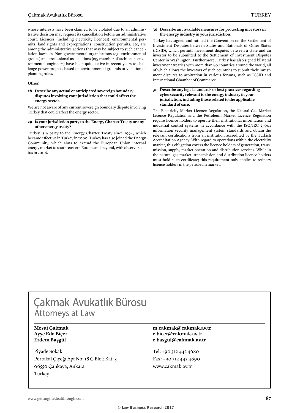whose interests have been claimed to be violated due to an administrative decision may request its cancellation before an administrative court. Licences (including electricity licences), environmental permits, land rights and expropriations, construction permits, etc, are among the administrative actions that may be subject to such cancellation lawsuits. Non-governmental organisations (eg, environmental groups) and professional associations (eg, chamber of architects, environmental engineers) have been quite active in recent years to challenge power projects based on environmental grounds or violation of planning rules.

#### **Other**

#### **28 Describe any actual or anticipated sovereign boundary disputes involving your jurisdiction that could affect the energy sector.**

We are not aware of any current sovereign boundary dispute involving Turkey that could affect the energy sector.

#### **29 Is your jurisdiction party to the Energy Charter Treaty or any other energy treaty?**

Turkey is a party to the Energy Charter Treaty since 1994, which became effective in Turkey in 2000. Turkey has also joined the Energy Community, which aims to extend the European Union internal energy market to south-eastern Europe and beyond, with observer status in 2006.

#### **30 Describe any available measures for protecting investors in the energy industry in your jurisdiction.**

Turkey has signed and ratified the Convention on the Settlement of Investment Disputes between States and Nationals of Other States (ICSID), which permits investment disputes between a state and an investor to be submitted to the Settlement of Investment Disputes Center in Washington. Furthermore, Turkey has also signed bilateral investment treaties with more than 80 countries around the world, all of which allows the investors of such countries to submit their investment disputes to arbitration in various forums, such as ICSID and International Chamber of Commerce.

#### **31 Describe any legal standards or best practices regarding cybersecurity relevant to the energy industry in your jurisdiction, including those related to the applicable standard of care.**

The Electricity Market Licence Regulation, the Natural Gas Market Licence Regulation and the Petroleum Market Licence Regulation require licence holders to operate their institutional information and industrial control systems in accordance with the ISO/IEC 27001 information security management system standards and obtain the relevant certifications from an institution accredited by the Turkish Accreditation Agency. With regard to operations within the electricity market, this obligation covers the licence holders of generation, transmission, supply, market operation and distribution services. While in the natural gas market, transmission and distribution licence holders must hold such certificate; this requirement only applies to refinery licence holders in the petroleum market.

# Çakmak Avukatlık Bürosu **Attorneys at Law**

Piyade Sokak Portakal Çiçeği Apt No: 18 C Blok Kat: 3 06550 Çankaya, Ankara Turkey

#### **Mesut Çakmak m.cakmak@cakmak.av.tr Ayşe Eda Biçer e.bicer@cakmak.av.tr Erdem Başgül e.basgul@cakmak.av.tr**

Tel: +90 312 442 4680 Fax: +90 312 442 4690 www.cakmak.av.tr